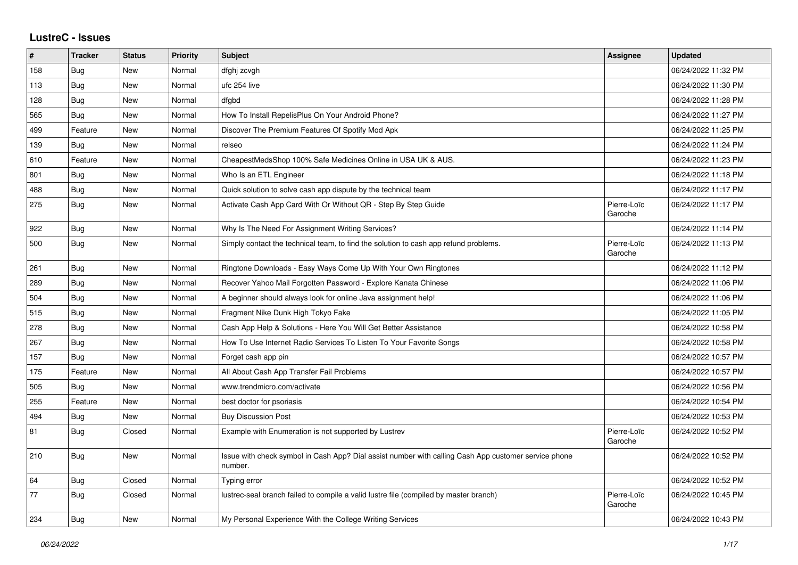## **LustreC - Issues**

| $\vert$ # | <b>Tracker</b> | <b>Status</b> | <b>Priority</b> | <b>Subject</b>                                                                                                  | Assignee               | <b>Updated</b>      |
|-----------|----------------|---------------|-----------------|-----------------------------------------------------------------------------------------------------------------|------------------------|---------------------|
| 158       | Bug            | <b>New</b>    | Normal          | dfghj zcvgh                                                                                                     |                        | 06/24/2022 11:32 PM |
| 113       | Bug            | <b>New</b>    | Normal          | ufc 254 live                                                                                                    |                        | 06/24/2022 11:30 PM |
| 128       | <b>Bug</b>     | <b>New</b>    | Normal          | dfgbd                                                                                                           |                        | 06/24/2022 11:28 PM |
| 565       | Bug            | <b>New</b>    | Normal          | How To Install RepelisPlus On Your Android Phone?                                                               |                        | 06/24/2022 11:27 PM |
| 499       | Feature        | <b>New</b>    | Normal          | Discover The Premium Features Of Spotify Mod Apk                                                                |                        | 06/24/2022 11:25 PM |
| 139       | Bug            | New           | Normal          | relseo                                                                                                          |                        | 06/24/2022 11:24 PM |
| 610       | Feature        | <b>New</b>    | Normal          | CheapestMedsShop 100% Safe Medicines Online in USA UK & AUS.                                                    |                        | 06/24/2022 11:23 PM |
| 801       | Bug            | <b>New</b>    | Normal          | Who Is an ETL Engineer                                                                                          |                        | 06/24/2022 11:18 PM |
| 488       | Bug            | <b>New</b>    | Normal          | Quick solution to solve cash app dispute by the technical team                                                  |                        | 06/24/2022 11:17 PM |
| 275       | Bug            | <b>New</b>    | Normal          | Activate Cash App Card With Or Without QR - Step By Step Guide                                                  | Pierre-Loïc<br>Garoche | 06/24/2022 11:17 PM |
| 922       | Bug            | New           | Normal          | Why Is The Need For Assignment Writing Services?                                                                |                        | 06/24/2022 11:14 PM |
| 500       | Bug            | <b>New</b>    | Normal          | Simply contact the technical team, to find the solution to cash app refund problems.                            | Pierre-Loïc<br>Garoche | 06/24/2022 11:13 PM |
| 261       | Bug            | <b>New</b>    | Normal          | Ringtone Downloads - Easy Ways Come Up With Your Own Ringtones                                                  |                        | 06/24/2022 11:12 PM |
| 289       | <b>Bug</b>     | <b>New</b>    | Normal          | Recover Yahoo Mail Forgotten Password - Explore Kanata Chinese                                                  |                        | 06/24/2022 11:06 PM |
| 504       | Bug            | <b>New</b>    | Normal          | A beginner should always look for online Java assignment help!                                                  |                        | 06/24/2022 11:06 PM |
| 515       | <b>Bug</b>     | New           | Normal          | Fragment Nike Dunk High Tokyo Fake                                                                              |                        | 06/24/2022 11:05 PM |
| 278       | <b>Bug</b>     | New           | Normal          | Cash App Help & Solutions - Here You Will Get Better Assistance                                                 |                        | 06/24/2022 10:58 PM |
| 267       | Bug            | New           | Normal          | How To Use Internet Radio Services To Listen To Your Favorite Songs                                             |                        | 06/24/2022 10:58 PM |
| 157       | Bug            | <b>New</b>    | Normal          | Forget cash app pin                                                                                             |                        | 06/24/2022 10:57 PM |
| 175       | Feature        | <b>New</b>    | Normal          | All About Cash App Transfer Fail Problems                                                                       |                        | 06/24/2022 10:57 PM |
| 505       | Bug            | New           | Normal          | www.trendmicro.com/activate                                                                                     |                        | 06/24/2022 10:56 PM |
| 255       | Feature        | New           | Normal          | best doctor for psoriasis                                                                                       |                        | 06/24/2022 10:54 PM |
| 494       | <b>Bug</b>     | <b>New</b>    | Normal          | <b>Buy Discussion Post</b>                                                                                      |                        | 06/24/2022 10:53 PM |
| 81        | Bug            | Closed        | Normal          | Example with Enumeration is not supported by Lustrev                                                            | Pierre-Loïc<br>Garoche | 06/24/2022 10:52 PM |
| 210       | <b>Bug</b>     | <b>New</b>    | Normal          | Issue with check symbol in Cash App? Dial assist number with calling Cash App customer service phone<br>number. |                        | 06/24/2022 10:52 PM |
| 64        | <b>Bug</b>     | Closed        | Normal          | Typing error                                                                                                    |                        | 06/24/2022 10:52 PM |
| 77        | Bug            | Closed        | Normal          | lustrec-seal branch failed to compile a valid lustre file (compiled by master branch)                           | Pierre-Loïc<br>Garoche | 06/24/2022 10:45 PM |
| 234       | Bug            | <b>New</b>    | Normal          | My Personal Experience With the College Writing Services                                                        |                        | 06/24/2022 10:43 PM |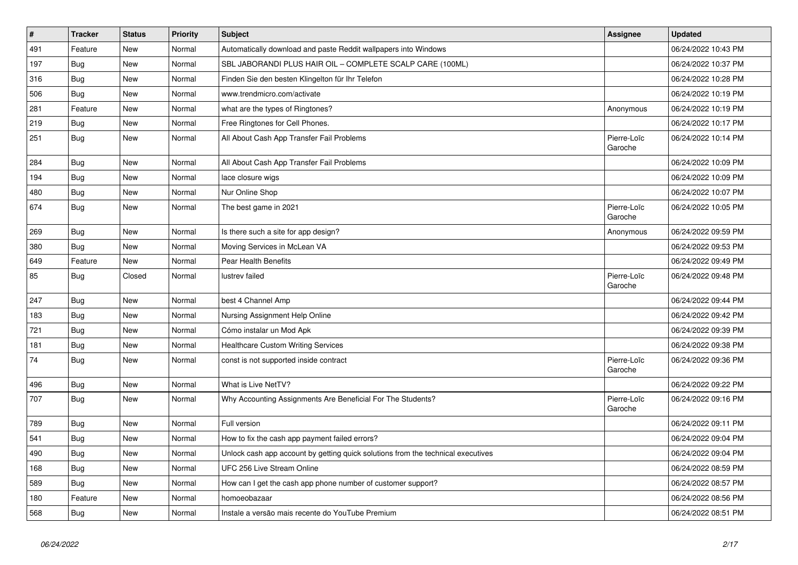| $\sharp$ | <b>Tracker</b> | <b>Status</b> | <b>Priority</b> | Subject                                                                          | Assignee               | <b>Updated</b>      |
|----------|----------------|---------------|-----------------|----------------------------------------------------------------------------------|------------------------|---------------------|
| 491      | Feature        | <b>New</b>    | Normal          | Automatically download and paste Reddit wallpapers into Windows                  |                        | 06/24/2022 10:43 PM |
| 197      | Bug            | New           | Normal          | SBL JABORANDI PLUS HAIR OIL - COMPLETE SCALP CARE (100ML)                        |                        | 06/24/2022 10:37 PM |
| 316      | Bug            | New           | Normal          | Finden Sie den besten Klingelton für Ihr Telefon                                 |                        | 06/24/2022 10:28 PM |
| 506      | <b>Bug</b>     | New           | Normal          | www.trendmicro.com/activate                                                      |                        | 06/24/2022 10:19 PM |
| 281      | Feature        | <b>New</b>    | Normal          | what are the types of Ringtones?                                                 | Anonymous              | 06/24/2022 10:19 PM |
| 219      | Bug            | New           | Normal          | Free Ringtones for Cell Phones.                                                  |                        | 06/24/2022 10:17 PM |
| 251      | Bug            | New           | Normal          | All About Cash App Transfer Fail Problems                                        | Pierre-Loïc<br>Garoche | 06/24/2022 10:14 PM |
| 284      | <b>Bug</b>     | <b>New</b>    | Normal          | All About Cash App Transfer Fail Problems                                        |                        | 06/24/2022 10:09 PM |
| 194      | <b>Bug</b>     | New           | Normal          | lace closure wigs                                                                |                        | 06/24/2022 10:09 PM |
| 480      | Bug            | New           | Normal          | Nur Online Shop                                                                  |                        | 06/24/2022 10:07 PM |
| 674      | <b>Bug</b>     | New           | Normal          | The best game in 2021                                                            | Pierre-Loïc<br>Garoche | 06/24/2022 10:05 PM |
| 269      | Bug            | New           | Normal          | Is there such a site for app design?                                             | Anonymous              | 06/24/2022 09:59 PM |
| 380      | Bug            | New           | Normal          | Moving Services in McLean VA                                                     |                        | 06/24/2022 09:53 PM |
| 649      | Feature        | New           | Normal          | Pear Health Benefits                                                             |                        | 06/24/2022 09:49 PM |
| 85       | <b>Bug</b>     | Closed        | Normal          | lustrev failed                                                                   | Pierre-Loïc<br>Garoche | 06/24/2022 09:48 PM |
| 247      | Bug            | New           | Normal          | best 4 Channel Amp                                                               |                        | 06/24/2022 09:44 PM |
| 183      | <b>Bug</b>     | New           | Normal          | Nursing Assignment Help Online                                                   |                        | 06/24/2022 09:42 PM |
| 721      | Bug            | New           | Normal          | Cómo instalar un Mod Apk                                                         |                        | 06/24/2022 09:39 PM |
| 181      | Bug            | New           | Normal          | <b>Healthcare Custom Writing Services</b>                                        |                        | 06/24/2022 09:38 PM |
| 74       | Bug            | New           | Normal          | const is not supported inside contract                                           | Pierre-Loïc<br>Garoche | 06/24/2022 09:36 PM |
| 496      | <b>Bug</b>     | New           | Normal          | What is Live NetTV?                                                              |                        | 06/24/2022 09:22 PM |
| 707      | <b>Bug</b>     | New           | Normal          | Why Accounting Assignments Are Beneficial For The Students?                      | Pierre-Loïc<br>Garoche | 06/24/2022 09:16 PM |
| 789      | <b>Bug</b>     | New           | Normal          | Full version                                                                     |                        | 06/24/2022 09:11 PM |
| 541      | <b>Bug</b>     | <b>New</b>    | Normal          | How to fix the cash app payment failed errors?                                   |                        | 06/24/2022 09:04 PM |
| 490      | Bug            | New           | Normal          | Unlock cash app account by getting quick solutions from the technical executives |                        | 06/24/2022 09:04 PM |
| 168      | Bug            | New           | Normal          | UFC 256 Live Stream Online                                                       |                        | 06/24/2022 08:59 PM |
| 589      | <b>Bug</b>     | New           | Normal          | How can I get the cash app phone number of customer support?                     |                        | 06/24/2022 08:57 PM |
| 180      | Feature        | <b>New</b>    | Normal          | homoeobazaar                                                                     |                        | 06/24/2022 08:56 PM |
| 568      | <b>Bug</b>     | New           | Normal          | Instale a versão mais recente do YouTube Premium                                 |                        | 06/24/2022 08:51 PM |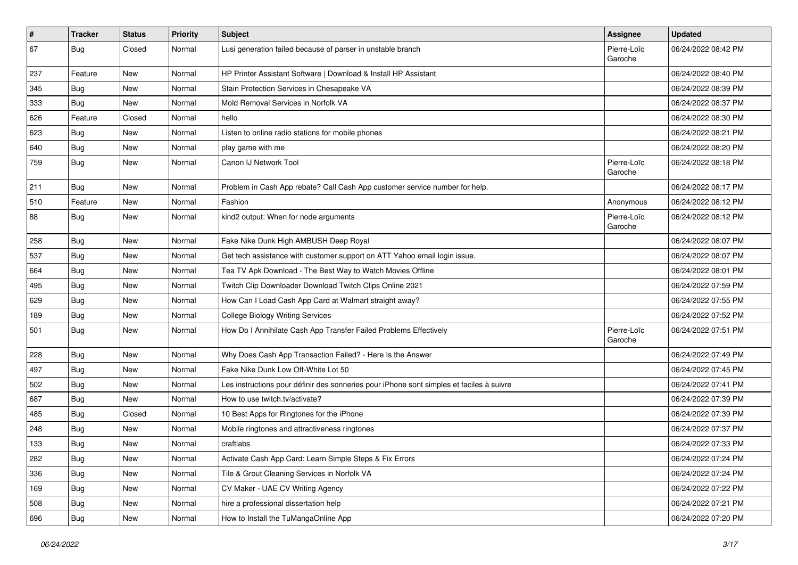| $\vert$ # | Tracker    | <b>Status</b> | <b>Priority</b> | <b>Subject</b>                                                                           | Assignee               | <b>Updated</b>      |
|-----------|------------|---------------|-----------------|------------------------------------------------------------------------------------------|------------------------|---------------------|
| 67        | <b>Bug</b> | Closed        | Normal          | Lusi generation failed because of parser in unstable branch                              | Pierre-Loïc<br>Garoche | 06/24/2022 08:42 PM |
| 237       | Feature    | New           | Normal          | HP Printer Assistant Software   Download & Install HP Assistant                          |                        | 06/24/2022 08:40 PM |
| 345       | <b>Bug</b> | New           | Normal          | Stain Protection Services in Chesapeake VA                                               |                        | 06/24/2022 08:39 PM |
| 333       | Bug        | New           | Normal          | Mold Removal Services in Norfolk VA                                                      |                        | 06/24/2022 08:37 PM |
| 626       | Feature    | Closed        | Normal          | hello                                                                                    |                        | 06/24/2022 08:30 PM |
| 623       | Bug        | New           | Normal          | Listen to online radio stations for mobile phones                                        |                        | 06/24/2022 08:21 PM |
| 640       | Bug        | New           | Normal          | play game with me                                                                        |                        | 06/24/2022 08:20 PM |
| 759       | <b>Bug</b> | New           | Normal          | Canon IJ Network Tool                                                                    | Pierre-Loïc<br>Garoche | 06/24/2022 08:18 PM |
| 211       | Bug        | New           | Normal          | Problem in Cash App rebate? Call Cash App customer service number for help.              |                        | 06/24/2022 08:17 PM |
| 510       | Feature    | New           | Normal          | Fashion                                                                                  | Anonymous              | 06/24/2022 08:12 PM |
| 88        | Bug        | New           | Normal          | kind2 output: When for node arguments                                                    | Pierre-Loïc<br>Garoche | 06/24/2022 08:12 PM |
| 258       | <b>Bug</b> | New           | Normal          | Fake Nike Dunk High AMBUSH Deep Royal                                                    |                        | 06/24/2022 08:07 PM |
| 537       | Bug        | New           | Normal          | Get tech assistance with customer support on ATT Yahoo email login issue.                |                        | 06/24/2022 08:07 PM |
| 664       | <b>Bug</b> | New           | Normal          | Tea TV Apk Download - The Best Way to Watch Movies Offline                               |                        | 06/24/2022 08:01 PM |
| 495       | Bug        | New           | Normal          | Twitch Clip Downloader Download Twitch Clips Online 2021                                 |                        | 06/24/2022 07:59 PM |
| 629       | Bug        | New           | Normal          | How Can I Load Cash App Card at Walmart straight away?                                   |                        | 06/24/2022 07:55 PM |
| 189       | Bug        | New           | Normal          | <b>College Biology Writing Services</b>                                                  |                        | 06/24/2022 07:52 PM |
| 501       | Bug        | New           | Normal          | How Do I Annihilate Cash App Transfer Failed Problems Effectively                        | Pierre-Loïc<br>Garoche | 06/24/2022 07:51 PM |
| 228       | Bug        | New           | Normal          | Why Does Cash App Transaction Failed? - Here Is the Answer                               |                        | 06/24/2022 07:49 PM |
| 497       | Bug        | New           | Normal          | Fake Nike Dunk Low Off-White Lot 50                                                      |                        | 06/24/2022 07:45 PM |
| 502       | <b>Bug</b> | New           | Normal          | Les instructions pour définir des sonneries pour iPhone sont simples et faciles à suivre |                        | 06/24/2022 07:41 PM |
| 687       | Bug        | New           | Normal          | How to use twitch.tv/activate?                                                           |                        | 06/24/2022 07:39 PM |
| 485       | <b>Bug</b> | Closed        | Normal          | 10 Best Apps for Ringtones for the iPhone                                                |                        | 06/24/2022 07:39 PM |
| 248       | <b>Bug</b> | New           | Normal          | Mobile ringtones and attractiveness ringtones                                            |                        | 06/24/2022 07:37 PM |
| 133       | <b>Bug</b> | New           | Normal          | craftlabs                                                                                |                        | 06/24/2022 07:33 PM |
| 282       | <b>Bug</b> | New           | Normal          | Activate Cash App Card: Learn Simple Steps & Fix Errors                                  |                        | 06/24/2022 07:24 PM |
| 336       | Bug        | New           | Normal          | Tile & Grout Cleaning Services in Norfolk VA                                             |                        | 06/24/2022 07:24 PM |
| 169       | <b>Bug</b> | New           | Normal          | CV Maker - UAE CV Writing Agency                                                         |                        | 06/24/2022 07:22 PM |
| 508       | <b>Bug</b> | New           | Normal          | hire a professional dissertation help                                                    |                        | 06/24/2022 07:21 PM |
| 696       | <b>Bug</b> | New           | Normal          | How to Install the TuMangaOnline App                                                     |                        | 06/24/2022 07:20 PM |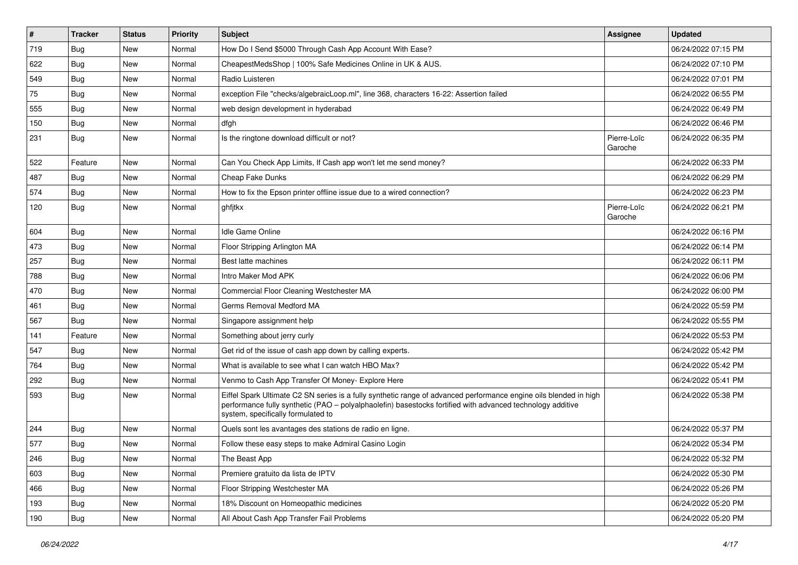| $\vert$ # | <b>Tracker</b> | <b>Status</b> | <b>Priority</b> | Subject                                                                                                                                                                                                                                                               | <b>Assignee</b>        | <b>Updated</b>      |
|-----------|----------------|---------------|-----------------|-----------------------------------------------------------------------------------------------------------------------------------------------------------------------------------------------------------------------------------------------------------------------|------------------------|---------------------|
| 719       | <b>Bug</b>     | New           | Normal          | How Do I Send \$5000 Through Cash App Account With Ease?                                                                                                                                                                                                              |                        | 06/24/2022 07:15 PM |
| 622       | Bug            | <b>New</b>    | Normal          | CheapestMedsShop   100% Safe Medicines Online in UK & AUS.                                                                                                                                                                                                            |                        | 06/24/2022 07:10 PM |
| 549       | <b>Bug</b>     | New           | Normal          | Radio Luisteren                                                                                                                                                                                                                                                       |                        | 06/24/2022 07:01 PM |
| 75        | Bug            | New           | Normal          | exception File "checks/algebraicLoop.ml", line 368, characters 16-22: Assertion failed                                                                                                                                                                                |                        | 06/24/2022 06:55 PM |
| 555       | <b>Bug</b>     | New           | Normal          | web design development in hyderabad                                                                                                                                                                                                                                   |                        | 06/24/2022 06:49 PM |
| 150       | <b>Bug</b>     | New           | Normal          | dfgh                                                                                                                                                                                                                                                                  |                        | 06/24/2022 06:46 PM |
| 231       | <b>Bug</b>     | New           | Normal          | Is the ringtone download difficult or not?                                                                                                                                                                                                                            | Pierre-Loïc<br>Garoche | 06/24/2022 06:35 PM |
| 522       | Feature        | New           | Normal          | Can You Check App Limits, If Cash app won't let me send money?                                                                                                                                                                                                        |                        | 06/24/2022 06:33 PM |
| 487       | Bug            | New           | Normal          | Cheap Fake Dunks                                                                                                                                                                                                                                                      |                        | 06/24/2022 06:29 PM |
| 574       | <b>Bug</b>     | New           | Normal          | How to fix the Epson printer offline issue due to a wired connection?                                                                                                                                                                                                 |                        | 06/24/2022 06:23 PM |
| 120       | <b>Bug</b>     | New           | Normal          | ghfjtkx                                                                                                                                                                                                                                                               | Pierre-Loïc<br>Garoche | 06/24/2022 06:21 PM |
| 604       | <b>Bug</b>     | <b>New</b>    | Normal          | <b>Idle Game Online</b>                                                                                                                                                                                                                                               |                        | 06/24/2022 06:16 PM |
| 473       | Bug            | New           | Normal          | Floor Stripping Arlington MA                                                                                                                                                                                                                                          |                        | 06/24/2022 06:14 PM |
| 257       | Bug            | New           | Normal          | Best latte machines                                                                                                                                                                                                                                                   |                        | 06/24/2022 06:11 PM |
| 788       | Bug            | New           | Normal          | Intro Maker Mod APK                                                                                                                                                                                                                                                   |                        | 06/24/2022 06:06 PM |
| 470       | Bug            | New           | Normal          | Commercial Floor Cleaning Westchester MA                                                                                                                                                                                                                              |                        | 06/24/2022 06:00 PM |
| 461       | <b>Bug</b>     | New           | Normal          | Germs Removal Medford MA                                                                                                                                                                                                                                              |                        | 06/24/2022 05:59 PM |
| 567       | Bug            | New           | Normal          | Singapore assignment help                                                                                                                                                                                                                                             |                        | 06/24/2022 05:55 PM |
| 141       | Feature        | New           | Normal          | Something about jerry curly                                                                                                                                                                                                                                           |                        | 06/24/2022 05:53 PM |
| 547       | Bug            | New           | Normal          | Get rid of the issue of cash app down by calling experts.                                                                                                                                                                                                             |                        | 06/24/2022 05:42 PM |
| 764       | Bug            | New           | Normal          | What is available to see what I can watch HBO Max?                                                                                                                                                                                                                    |                        | 06/24/2022 05:42 PM |
| 292       | <b>Bug</b>     | New           | Normal          | Venmo to Cash App Transfer Of Money- Explore Here                                                                                                                                                                                                                     |                        | 06/24/2022 05:41 PM |
| 593       | <b>Bug</b>     | New           | Normal          | Eiffel Spark Ultimate C2 SN series is a fully synthetic range of advanced performance engine oils blended in high<br>performance fully synthetic (PAO - polyalphaolefin) basestocks fortified with advanced technology additive<br>system, specifically formulated to |                        | 06/24/2022 05:38 PM |
| 244       | <b>Bug</b>     | New           | Normal          | Quels sont les avantages des stations de radio en ligne.                                                                                                                                                                                                              |                        | 06/24/2022 05:37 PM |
| 577       | Bug            | New           | Normal          | Follow these easy steps to make Admiral Casino Login                                                                                                                                                                                                                  |                        | 06/24/2022 05:34 PM |
| 246       | <b>Bug</b>     | New           | Normal          | The Beast App                                                                                                                                                                                                                                                         |                        | 06/24/2022 05:32 PM |
| 603       | Bug            | New           | Normal          | Premiere gratuito da lista de IPTV                                                                                                                                                                                                                                    |                        | 06/24/2022 05:30 PM |
| 466       | Bug            | New           | Normal          | Floor Stripping Westchester MA                                                                                                                                                                                                                                        |                        | 06/24/2022 05:26 PM |
| 193       | <b>Bug</b>     | New           | Normal          | 18% Discount on Homeopathic medicines                                                                                                                                                                                                                                 |                        | 06/24/2022 05:20 PM |
| 190       | <b>Bug</b>     | New           | Normal          | All About Cash App Transfer Fail Problems                                                                                                                                                                                                                             |                        | 06/24/2022 05:20 PM |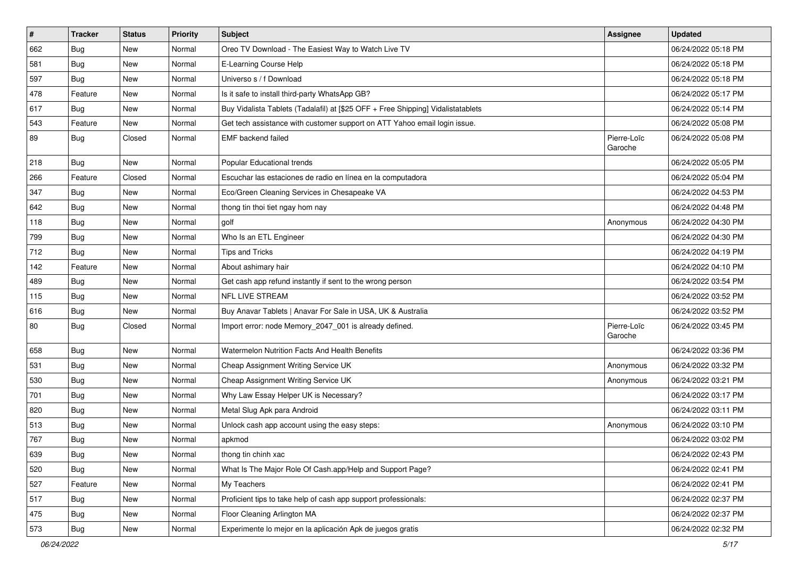| #   | <b>Tracker</b> | <b>Status</b> | <b>Priority</b> | <b>Subject</b>                                                                   | <b>Assignee</b>        | <b>Updated</b>      |
|-----|----------------|---------------|-----------------|----------------------------------------------------------------------------------|------------------------|---------------------|
| 662 | <b>Bug</b>     | New           | Normal          | Oreo TV Download - The Easiest Way to Watch Live TV                              |                        | 06/24/2022 05:18 PM |
| 581 | Bug            | New           | Normal          | E-Learning Course Help                                                           |                        | 06/24/2022 05:18 PM |
| 597 | Bug            | New           | Normal          | Universo s / f Download                                                          |                        | 06/24/2022 05:18 PM |
| 478 | Feature        | New           | Normal          | Is it safe to install third-party WhatsApp GB?                                   |                        | 06/24/2022 05:17 PM |
| 617 | Bug            | New           | Normal          | Buy Vidalista Tablets (Tadalafil) at [\$25 OFF + Free Shipping] Vidalistatablets |                        | 06/24/2022 05:14 PM |
| 543 | Feature        | New           | Normal          | Get tech assistance with customer support on ATT Yahoo email login issue.        |                        | 06/24/2022 05:08 PM |
| 89  | Bug            | Closed        | Normal          | <b>EMF</b> backend failed                                                        | Pierre-Loïc<br>Garoche | 06/24/2022 05:08 PM |
| 218 | <b>Bug</b>     | New           | Normal          | Popular Educational trends                                                       |                        | 06/24/2022 05:05 PM |
| 266 | Feature        | Closed        | Normal          | Escuchar las estaciones de radio en línea en la computadora                      |                        | 06/24/2022 05:04 PM |
| 347 | Bug            | New           | Normal          | Eco/Green Cleaning Services in Chesapeake VA                                     |                        | 06/24/2022 04:53 PM |
| 642 | Bug            | New           | Normal          | thong tin thoi tiet ngay hom nay                                                 |                        | 06/24/2022 04:48 PM |
| 118 | Bug            | New           | Normal          | golf                                                                             | Anonymous              | 06/24/2022 04:30 PM |
| 799 | <b>Bug</b>     | New           | Normal          | Who Is an ETL Engineer                                                           |                        | 06/24/2022 04:30 PM |
| 712 | Bug            | New           | Normal          | Tips and Tricks                                                                  |                        | 06/24/2022 04:19 PM |
| 142 | Feature        | New           | Normal          | About ashimary hair                                                              |                        | 06/24/2022 04:10 PM |
| 489 | Bug            | New           | Normal          | Get cash app refund instantly if sent to the wrong person                        |                        | 06/24/2022 03:54 PM |
| 115 | Bug            | New           | Normal          | NFL LIVE STREAM                                                                  |                        | 06/24/2022 03:52 PM |
| 616 | <b>Bug</b>     | New           | Normal          | Buy Anavar Tablets   Anavar For Sale in USA, UK & Australia                      |                        | 06/24/2022 03:52 PM |
| 80  | Bug            | Closed        | Normal          | Import error: node Memory_2047_001 is already defined.                           | Pierre-Loïc<br>Garoche | 06/24/2022 03:45 PM |
| 658 | Bug            | New           | Normal          | Watermelon Nutrition Facts And Health Benefits                                   |                        | 06/24/2022 03:36 PM |
| 531 | Bug            | New           | Normal          | Cheap Assignment Writing Service UK                                              | Anonymous              | 06/24/2022 03:32 PM |
| 530 | Bug            | New           | Normal          | Cheap Assignment Writing Service UK                                              | Anonymous              | 06/24/2022 03:21 PM |
| 701 | Bug            | New           | Normal          | Why Law Essay Helper UK is Necessary?                                            |                        | 06/24/2022 03:17 PM |
| 820 | Bug            | New           | Normal          | Metal Slug Apk para Android                                                      |                        | 06/24/2022 03:11 PM |
| 513 | <b>Bug</b>     | New           | Normal          | Unlock cash app account using the easy steps:                                    | Anonymous              | 06/24/2022 03:10 PM |
| 767 | <b>Bug</b>     | New           | Normal          | apkmod                                                                           |                        | 06/24/2022 03:02 PM |
| 639 | Bug            | New           | Normal          | thong tin chinh xac                                                              |                        | 06/24/2022 02:43 PM |
| 520 | Bug            | New           | Normal          | What Is The Major Role Of Cash.app/Help and Support Page?                        |                        | 06/24/2022 02:41 PM |
| 527 | Feature        | New           | Normal          | My Teachers                                                                      |                        | 06/24/2022 02:41 PM |
| 517 | <b>Bug</b>     | New           | Normal          | Proficient tips to take help of cash app support professionals:                  |                        | 06/24/2022 02:37 PM |
| 475 | Bug            | New           | Normal          | Floor Cleaning Arlington MA                                                      |                        | 06/24/2022 02:37 PM |
| 573 | <b>Bug</b>     | New           | Normal          | Experimente lo mejor en la aplicación Apk de juegos gratis                       |                        | 06/24/2022 02:32 PM |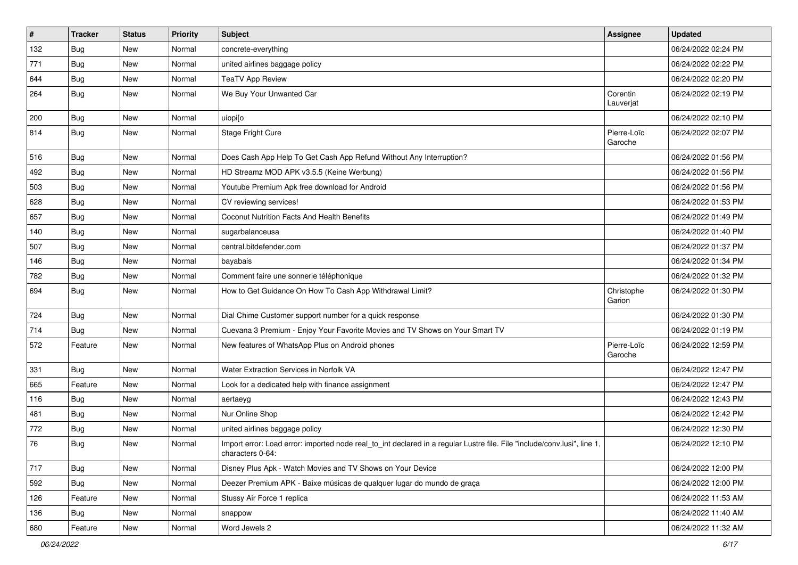| $\sharp$ | <b>Tracker</b> | <b>Status</b> | <b>Priority</b> | <b>Subject</b>                                                                                                                               | <b>Assignee</b>        | <b>Updated</b>      |
|----------|----------------|---------------|-----------------|----------------------------------------------------------------------------------------------------------------------------------------------|------------------------|---------------------|
| 132      | <b>Bug</b>     | New           | Normal          | concrete-everything                                                                                                                          |                        | 06/24/2022 02:24 PM |
| 771      | <b>Bug</b>     | <b>New</b>    | Normal          | united airlines baggage policy                                                                                                               |                        | 06/24/2022 02:22 PM |
| 644      | <b>Bug</b>     | New           | Normal          | <b>TeaTV App Review</b>                                                                                                                      |                        | 06/24/2022 02:20 PM |
| 264      | Bug            | New           | Normal          | We Buy Your Unwanted Car                                                                                                                     | Corentin<br>Lauverjat  | 06/24/2022 02:19 PM |
| 200      | <b>Bug</b>     | New           | Normal          | uiopi[o                                                                                                                                      |                        | 06/24/2022 02:10 PM |
| 814      | <b>Bug</b>     | New           | Normal          | <b>Stage Fright Cure</b>                                                                                                                     | Pierre-Loïc<br>Garoche | 06/24/2022 02:07 PM |
| 516      | <b>Bug</b>     | New           | Normal          | Does Cash App Help To Get Cash App Refund Without Any Interruption?                                                                          |                        | 06/24/2022 01:56 PM |
| 492      | Bug            | <b>New</b>    | Normal          | HD Streamz MOD APK v3.5.5 (Keine Werbung)                                                                                                    |                        | 06/24/2022 01:56 PM |
| 503      | Bug            | New           | Normal          | Youtube Premium Apk free download for Android                                                                                                |                        | 06/24/2022 01:56 PM |
| 628      | Bug            | New           | Normal          | CV reviewing services!                                                                                                                       |                        | 06/24/2022 01:53 PM |
| 657      | Bug            | New           | Normal          | Coconut Nutrition Facts And Health Benefits                                                                                                  |                        | 06/24/2022 01:49 PM |
| 140      | <b>Bug</b>     | New           | Normal          | sugarbalanceusa                                                                                                                              |                        | 06/24/2022 01:40 PM |
| 507      | Bug            | New           | Normal          | central.bitdefender.com                                                                                                                      |                        | 06/24/2022 01:37 PM |
| 146      | Bug            | New           | Normal          | bayabais                                                                                                                                     |                        | 06/24/2022 01:34 PM |
| 782      | Bug            | New           | Normal          | Comment faire une sonnerie téléphonique                                                                                                      |                        | 06/24/2022 01:32 PM |
| 694      | <b>Bug</b>     | New           | Normal          | How to Get Guidance On How To Cash App Withdrawal Limit?                                                                                     | Christophe<br>Garion   | 06/24/2022 01:30 PM |
| 724      | Bug            | New           | Normal          | Dial Chime Customer support number for a quick response                                                                                      |                        | 06/24/2022 01:30 PM |
| 714      | Bug            | New           | Normal          | Cuevana 3 Premium - Enjoy Your Favorite Movies and TV Shows on Your Smart TV                                                                 |                        | 06/24/2022 01:19 PM |
| 572      | Feature        | New           | Normal          | New features of WhatsApp Plus on Android phones                                                                                              | Pierre-Loïc<br>Garoche | 06/24/2022 12:59 PM |
| 331      | <b>Bug</b>     | New           | Normal          | Water Extraction Services in Norfolk VA                                                                                                      |                        | 06/24/2022 12:47 PM |
| 665      | Feature        | New           | Normal          | Look for a dedicated help with finance assignment                                                                                            |                        | 06/24/2022 12:47 PM |
| 116      | Bug            | New           | Normal          | aertaeyg                                                                                                                                     |                        | 06/24/2022 12:43 PM |
| 481      | <b>Bug</b>     | New           | Normal          | Nur Online Shop                                                                                                                              |                        | 06/24/2022 12:42 PM |
| 772      | <b>Bug</b>     | New           | Normal          | united airlines baggage policy                                                                                                               |                        | 06/24/2022 12:30 PM |
| 76       | <b>Bug</b>     | New           | Normal          | Import error: Load error: imported node real_to_int declared in a regular Lustre file. File "include/conv.lusi", line 1,<br>characters 0-64: |                        | 06/24/2022 12:10 PM |
| 717      | Bug            | New           | Normal          | Disney Plus Apk - Watch Movies and TV Shows on Your Device                                                                                   |                        | 06/24/2022 12:00 PM |
| 592      | Bug            | New           | Normal          | Deezer Premium APK - Baixe músicas de qualquer lugar do mundo de graça                                                                       |                        | 06/24/2022 12:00 PM |
| 126      | Feature        | New           | Normal          | Stussy Air Force 1 replica                                                                                                                   |                        | 06/24/2022 11:53 AM |
| 136      | Bug            | New           | Normal          | snappow                                                                                                                                      |                        | 06/24/2022 11:40 AM |
| 680      | Feature        | New           | Normal          | Word Jewels 2                                                                                                                                |                        | 06/24/2022 11:32 AM |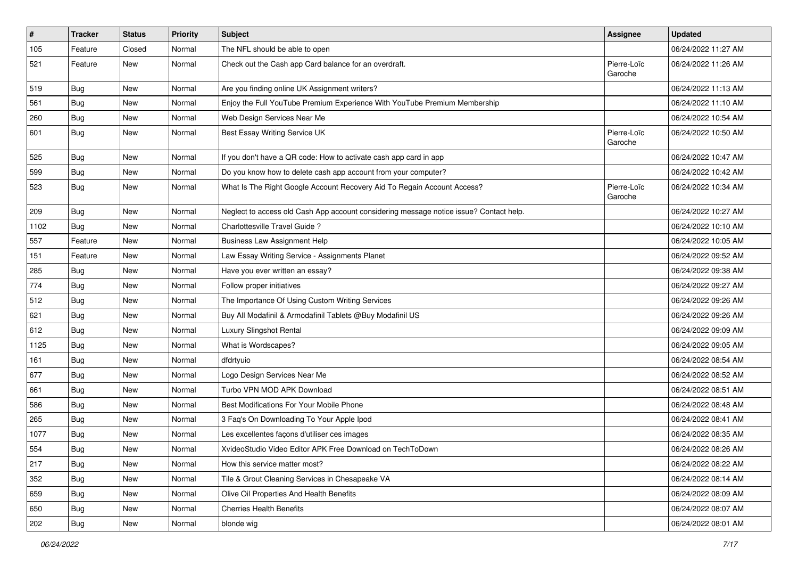| $\vert$ # | Tracker    | <b>Status</b> | <b>Priority</b> | <b>Subject</b>                                                                         | <b>Assignee</b>        | <b>Updated</b>      |
|-----------|------------|---------------|-----------------|----------------------------------------------------------------------------------------|------------------------|---------------------|
| 105       | Feature    | Closed        | Normal          | The NFL should be able to open                                                         |                        | 06/24/2022 11:27 AM |
| 521       | Feature    | New           | Normal          | Check out the Cash app Card balance for an overdraft.                                  | Pierre-Loïc<br>Garoche | 06/24/2022 11:26 AM |
| 519       | Bug        | New           | Normal          | Are you finding online UK Assignment writers?                                          |                        | 06/24/2022 11:13 AM |
| 561       | Bug        | New           | Normal          | Enjoy the Full YouTube Premium Experience With YouTube Premium Membership              |                        | 06/24/2022 11:10 AM |
| 260       | <b>Bug</b> | New           | Normal          | Web Design Services Near Me                                                            |                        | 06/24/2022 10:54 AM |
| 601       | <b>Bug</b> | New           | Normal          | Best Essay Writing Service UK                                                          | Pierre-Loïc<br>Garoche | 06/24/2022 10:50 AM |
| 525       | Bug        | New           | Normal          | If you don't have a QR code: How to activate cash app card in app                      |                        | 06/24/2022 10:47 AM |
| 599       | Bug        | New           | Normal          | Do you know how to delete cash app account from your computer?                         |                        | 06/24/2022 10:42 AM |
| 523       | <b>Bug</b> | New           | Normal          | What Is The Right Google Account Recovery Aid To Regain Account Access?                | Pierre-Loïc<br>Garoche | 06/24/2022 10:34 AM |
| 209       | Bug        | New           | Normal          | Neglect to access old Cash App account considering message notice issue? Contact help. |                        | 06/24/2022 10:27 AM |
| 1102      | Bug        | New           | Normal          | Charlottesville Travel Guide?                                                          |                        | 06/24/2022 10:10 AM |
| 557       | Feature    | New           | Normal          | <b>Business Law Assignment Help</b>                                                    |                        | 06/24/2022 10:05 AM |
| 151       | Feature    | New           | Normal          | Law Essay Writing Service - Assignments Planet                                         |                        | 06/24/2022 09:52 AM |
| 285       | <b>Bug</b> | New           | Normal          | Have you ever written an essay?                                                        |                        | 06/24/2022 09:38 AM |
| 774       | <b>Bug</b> | New           | Normal          | Follow proper initiatives                                                              |                        | 06/24/2022 09:27 AM |
| 512       | <b>Bug</b> | New           | Normal          | The Importance Of Using Custom Writing Services                                        |                        | 06/24/2022 09:26 AM |
| 621       | Bug        | New           | Normal          | Buy All Modafinil & Armodafinil Tablets @Buy Modafinil US                              |                        | 06/24/2022 09:26 AM |
| 612       | Bug        | New           | Normal          | Luxury Slingshot Rental                                                                |                        | 06/24/2022 09:09 AM |
| 1125      | <b>Bug</b> | New           | Normal          | What is Wordscapes?                                                                    |                        | 06/24/2022 09:05 AM |
| 161       | <b>Bug</b> | New           | Normal          | dfdrtyuio                                                                              |                        | 06/24/2022 08:54 AM |
| 677       | Bug        | New           | Normal          | Logo Design Services Near Me                                                           |                        | 06/24/2022 08:52 AM |
| 661       | <b>Bug</b> | New           | Normal          | Turbo VPN MOD APK Download                                                             |                        | 06/24/2022 08:51 AM |
| 586       | <b>Bug</b> | New           | Normal          | Best Modifications For Your Mobile Phone                                               |                        | 06/24/2022 08:48 AM |
| 265       | Bug        | New           | Normal          | 3 Faq's On Downloading To Your Apple Ipod                                              |                        | 06/24/2022 08:41 AM |
| 1077      | <b>Bug</b> | New           | Normal          | Les excellentes façons d'utiliser ces images                                           |                        | 06/24/2022 08:35 AM |
| 554       | Bug        | New           | Normal          | XvideoStudio Video Editor APK Free Download on TechToDown                              |                        | 06/24/2022 08:26 AM |
| 217       | <b>Bug</b> | New           | Normal          | How this service matter most?                                                          |                        | 06/24/2022 08:22 AM |
| 352       | <b>Bug</b> | New           | Normal          | Tile & Grout Cleaning Services in Chesapeake VA                                        |                        | 06/24/2022 08:14 AM |
| 659       | <b>Bug</b> | New           | Normal          | Olive Oil Properties And Health Benefits                                               |                        | 06/24/2022 08:09 AM |
| 650       | <b>Bug</b> | New           | Normal          | <b>Cherries Health Benefits</b>                                                        |                        | 06/24/2022 08:07 AM |
| 202       | <b>Bug</b> | New           | Normal          | blonde wig                                                                             |                        | 06/24/2022 08:01 AM |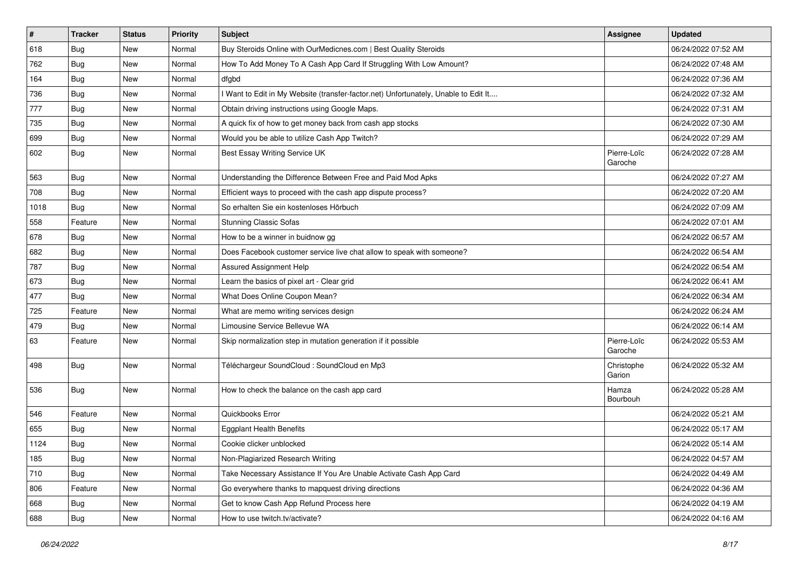| $\vert$ # | <b>Tracker</b> | <b>Status</b> | <b>Priority</b> | <b>Subject</b>                                                                      | Assignee               | <b>Updated</b>      |
|-----------|----------------|---------------|-----------------|-------------------------------------------------------------------------------------|------------------------|---------------------|
| 618       | <b>Bug</b>     | New           | Normal          | Buy Steroids Online with OurMedicnes.com   Best Quality Steroids                    |                        | 06/24/2022 07:52 AM |
| 762       | Bug            | <b>New</b>    | Normal          | How To Add Money To A Cash App Card If Struggling With Low Amount?                  |                        | 06/24/2022 07:48 AM |
| 164       | Bug            | New           | Normal          | dfgbd                                                                               |                        | 06/24/2022 07:36 AM |
| 736       | <b>Bug</b>     | New           | Normal          | I Want to Edit in My Website (transfer-factor.net) Unfortunately, Unable to Edit It |                        | 06/24/2022 07:32 AM |
| 777       | <b>Bug</b>     | New           | Normal          | Obtain driving instructions using Google Maps.                                      |                        | 06/24/2022 07:31 AM |
| 735       | <b>Bug</b>     | New           | Normal          | A quick fix of how to get money back from cash app stocks                           |                        | 06/24/2022 07:30 AM |
| 699       | <b>Bug</b>     | New           | Normal          | Would you be able to utilize Cash App Twitch?                                       |                        | 06/24/2022 07:29 AM |
| 602       | <b>Bug</b>     | New           | Normal          | Best Essay Writing Service UK                                                       | Pierre-Loïc<br>Garoche | 06/24/2022 07:28 AM |
| 563       | Bug            | <b>New</b>    | Normal          | Understanding the Difference Between Free and Paid Mod Apks                         |                        | 06/24/2022 07:27 AM |
| 708       | Bug            | New           | Normal          | Efficient ways to proceed with the cash app dispute process?                        |                        | 06/24/2022 07:20 AM |
| 1018      | <b>Bug</b>     | New           | Normal          | So erhalten Sie ein kostenloses Hörbuch                                             |                        | 06/24/2022 07:09 AM |
| 558       | Feature        | New           | Normal          | <b>Stunning Classic Sofas</b>                                                       |                        | 06/24/2022 07:01 AM |
| 678       | <b>Bug</b>     | New           | Normal          | How to be a winner in buidnow gg                                                    |                        | 06/24/2022 06:57 AM |
| 682       | Bug            | New           | Normal          | Does Facebook customer service live chat allow to speak with someone?               |                        | 06/24/2022 06:54 AM |
| 787       | Bug            | New           | Normal          | Assured Assignment Help                                                             |                        | 06/24/2022 06:54 AM |
| 673       | <b>Bug</b>     | New           | Normal          | Learn the basics of pixel art - Clear grid                                          |                        | 06/24/2022 06:41 AM |
| 477       | <b>Bug</b>     | New           | Normal          | What Does Online Coupon Mean?                                                       |                        | 06/24/2022 06:34 AM |
| 725       | Feature        | New           | Normal          | What are memo writing services design                                               |                        | 06/24/2022 06:24 AM |
| 479       | Bug            | New           | Normal          | Limousine Service Bellevue WA                                                       |                        | 06/24/2022 06:14 AM |
| 63        | Feature        | <b>New</b>    | Normal          | Skip normalization step in mutation generation if it possible                       | Pierre-Loïc<br>Garoche | 06/24/2022 05:53 AM |
| 498       | <b>Bug</b>     | New           | Normal          | Téléchargeur SoundCloud : SoundCloud en Mp3                                         | Christophe<br>Garion   | 06/24/2022 05:32 AM |
| 536       | <b>Bug</b>     | New           | Normal          | How to check the balance on the cash app card                                       | Hamza<br>Bourbouh      | 06/24/2022 05:28 AM |
| 546       | Feature        | New           | Normal          | Quickbooks Error                                                                    |                        | 06/24/2022 05:21 AM |
| 655       | Bug            | New           | Normal          | <b>Eggplant Health Benefits</b>                                                     |                        | 06/24/2022 05:17 AM |
| 1124      | <b>Bug</b>     | New           | Normal          | Cookie clicker unblocked                                                            |                        | 06/24/2022 05:14 AM |
| 185       | Bug            | New           | Normal          | Non-Plagiarized Research Writing                                                    |                        | 06/24/2022 04:57 AM |
| 710       | Bug            | New           | Normal          | Take Necessary Assistance If You Are Unable Activate Cash App Card                  |                        | 06/24/2022 04:49 AM |
| 806       | Feature        | New           | Normal          | Go everywhere thanks to mapquest driving directions                                 |                        | 06/24/2022 04:36 AM |
| 668       | <b>Bug</b>     | New           | Normal          | Get to know Cash App Refund Process here                                            |                        | 06/24/2022 04:19 AM |
| 688       | <b>Bug</b>     | New           | Normal          | How to use twitch.tv/activate?                                                      |                        | 06/24/2022 04:16 AM |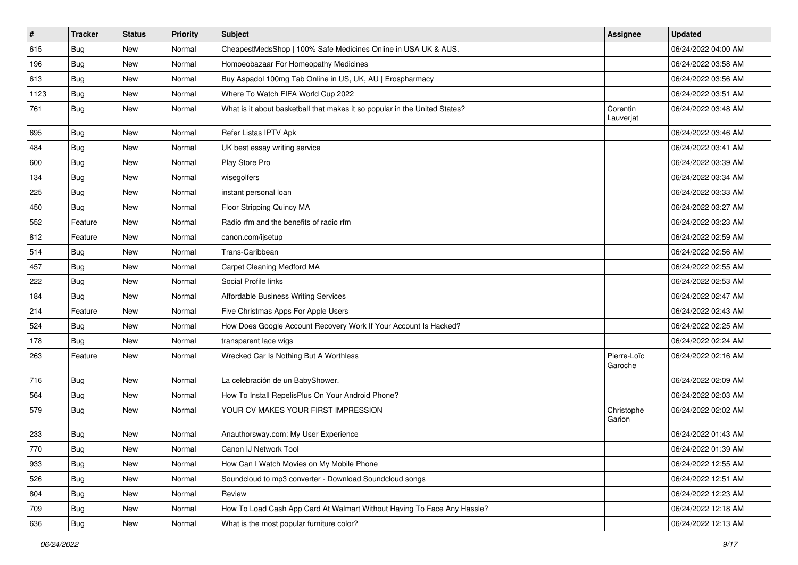| $\vert$ # | <b>Tracker</b> | <b>Status</b> | <b>Priority</b> | Subject                                                                    | Assignee               | <b>Updated</b>      |
|-----------|----------------|---------------|-----------------|----------------------------------------------------------------------------|------------------------|---------------------|
| 615       | <b>Bug</b>     | New           | Normal          | CheapestMedsShop   100% Safe Medicines Online in USA UK & AUS.             |                        | 06/24/2022 04:00 AM |
| 196       | Bug            | New           | Normal          | Homoeobazaar For Homeopathy Medicines                                      |                        | 06/24/2022 03:58 AM |
| 613       | <b>Bug</b>     | New           | Normal          | Buy Aspadol 100mg Tab Online in US, UK, AU   Erospharmacy                  |                        | 06/24/2022 03:56 AM |
| 1123      | Bug            | New           | Normal          | Where To Watch FIFA World Cup 2022                                         |                        | 06/24/2022 03:51 AM |
| 761       | Bug            | New           | Normal          | What is it about basketball that makes it so popular in the United States? | Corentin<br>Lauverjat  | 06/24/2022 03:48 AM |
| 695       | Bug            | New           | Normal          | Refer Listas IPTV Apk                                                      |                        | 06/24/2022 03:46 AM |
| 484       | Bug            | New           | Normal          | UK best essay writing service                                              |                        | 06/24/2022 03:41 AM |
| 600       | <b>Bug</b>     | New           | Normal          | Play Store Pro                                                             |                        | 06/24/2022 03:39 AM |
| 134       | Bug            | <b>New</b>    | Normal          | wisegolfers                                                                |                        | 06/24/2022 03:34 AM |
| 225       | <b>Bug</b>     | New           | Normal          | instant personal loan                                                      |                        | 06/24/2022 03:33 AM |
| 450       | <b>Bug</b>     | New           | Normal          | Floor Stripping Quincy MA                                                  |                        | 06/24/2022 03:27 AM |
| 552       | Feature        | New           | Normal          | Radio rfm and the benefits of radio rfm                                    |                        | 06/24/2022 03:23 AM |
| 812       | Feature        | New           | Normal          | canon.com/ijsetup                                                          |                        | 06/24/2022 02:59 AM |
| 514       | Bug            | New           | Normal          | Trans-Caribbean                                                            |                        | 06/24/2022 02:56 AM |
| 457       | Bug            | New           | Normal          | Carpet Cleaning Medford MA                                                 |                        | 06/24/2022 02:55 AM |
| 222       | <b>Bug</b>     | New           | Normal          | Social Profile links                                                       |                        | 06/24/2022 02:53 AM |
| 184       | Bug            | New           | Normal          | Affordable Business Writing Services                                       |                        | 06/24/2022 02:47 AM |
| 214       | Feature        | New           | Normal          | Five Christmas Apps For Apple Users                                        |                        | 06/24/2022 02:43 AM |
| 524       | <b>Bug</b>     | New           | Normal          | How Does Google Account Recovery Work If Your Account Is Hacked?           |                        | 06/24/2022 02:25 AM |
| 178       | Bug            | New           | Normal          | transparent lace wigs                                                      |                        | 06/24/2022 02:24 AM |
| 263       | Feature        | New           | Normal          | Wrecked Car Is Nothing But A Worthless                                     | Pierre-Loïc<br>Garoche | 06/24/2022 02:16 AM |
| 716       | Bug            | New           | Normal          | La celebración de un BabyShower.                                           |                        | 06/24/2022 02:09 AM |
| 564       | Bug            | New           | Normal          | How To Install RepelisPlus On Your Android Phone?                          |                        | 06/24/2022 02:03 AM |
| 579       | Bug            | New           | Normal          | YOUR CV MAKES YOUR FIRST IMPRESSION                                        | Christophe<br>Garion   | 06/24/2022 02:02 AM |
| 233       | <b>Bug</b>     | New           | Normal          | Anauthorsway.com: My User Experience                                       |                        | 06/24/2022 01:43 AM |
| 770       | Bug            | New           | Normal          | Canon IJ Network Tool                                                      |                        | 06/24/2022 01:39 AM |
| 933       | <b>Bug</b>     | New           | Normal          | How Can I Watch Movies on My Mobile Phone                                  |                        | 06/24/2022 12:55 AM |
| 526       | Bug            | New           | Normal          | Soundcloud to mp3 converter - Download Soundcloud songs                    |                        | 06/24/2022 12:51 AM |
| 804       | <b>Bug</b>     | New           | Normal          | Review                                                                     |                        | 06/24/2022 12:23 AM |
| 709       | Bug            | New           | Normal          | How To Load Cash App Card At Walmart Without Having To Face Any Hassle?    |                        | 06/24/2022 12:18 AM |
| 636       | <b>Bug</b>     | New           | Normal          | What is the most popular furniture color?                                  |                        | 06/24/2022 12:13 AM |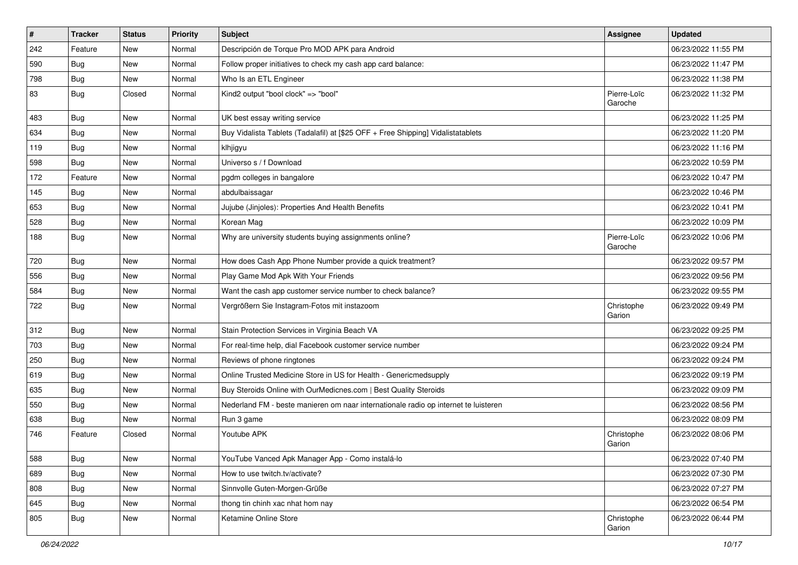| #   | <b>Tracker</b> | <b>Status</b> | <b>Priority</b> | Subject                                                                             | Assignee               | <b>Updated</b>      |
|-----|----------------|---------------|-----------------|-------------------------------------------------------------------------------------|------------------------|---------------------|
| 242 | Feature        | New           | Normal          | Descripción de Torque Pro MOD APK para Android                                      |                        | 06/23/2022 11:55 PM |
| 590 | Bug            | New           | Normal          | Follow proper initiatives to check my cash app card balance:                        |                        | 06/23/2022 11:47 PM |
| 798 | <b>Bug</b>     | <b>New</b>    | Normal          | Who Is an ETL Engineer                                                              |                        | 06/23/2022 11:38 PM |
| 83  | <b>Bug</b>     | Closed        | Normal          | Kind2 output "bool clock" => "bool"                                                 | Pierre-Loïc<br>Garoche | 06/23/2022 11:32 PM |
| 483 | <b>Bug</b>     | New           | Normal          | UK best essay writing service                                                       |                        | 06/23/2022 11:25 PM |
| 634 | Bug            | <b>New</b>    | Normal          | Buy Vidalista Tablets (Tadalafil) at [\$25 OFF + Free Shipping] Vidalistatablets    |                        | 06/23/2022 11:20 PM |
| 119 | Bug            | New           | Normal          | klhjigyu                                                                            |                        | 06/23/2022 11:16 PM |
| 598 | Bug            | New           | Normal          | Universo s / f Download                                                             |                        | 06/23/2022 10:59 PM |
| 172 | Feature        | New           | Normal          | pgdm colleges in bangalore                                                          |                        | 06/23/2022 10:47 PM |
| 145 | <b>Bug</b>     | New           | Normal          | abdulbaissagar                                                                      |                        | 06/23/2022 10:46 PM |
| 653 | <b>Bug</b>     | New           | Normal          | Jujube (Jinjoles): Properties And Health Benefits                                   |                        | 06/23/2022 10:41 PM |
| 528 | Bug            | New           | Normal          | Korean Mag                                                                          |                        | 06/23/2022 10:09 PM |
| 188 | <b>Bug</b>     | New           | Normal          | Why are university students buying assignments online?                              | Pierre-Loïc<br>Garoche | 06/23/2022 10:06 PM |
| 720 | Bug            | New           | Normal          | How does Cash App Phone Number provide a quick treatment?                           |                        | 06/23/2022 09:57 PM |
| 556 | <b>Bug</b>     | New           | Normal          | Play Game Mod Apk With Your Friends                                                 |                        | 06/23/2022 09:56 PM |
| 584 | <b>Bug</b>     | New           | Normal          | Want the cash app customer service number to check balance?                         |                        | 06/23/2022 09:55 PM |
| 722 | <b>Bug</b>     | New           | Normal          | Vergrößern Sie Instagram-Fotos mit instazoom                                        | Christophe<br>Garion   | 06/23/2022 09:49 PM |
| 312 | Bug            | New           | Normal          | Stain Protection Services in Virginia Beach VA                                      |                        | 06/23/2022 09:25 PM |
| 703 | Bug            | New           | Normal          | For real-time help, dial Facebook customer service number                           |                        | 06/23/2022 09:24 PM |
| 250 | <b>Bug</b>     | New           | Normal          | Reviews of phone ringtones                                                          |                        | 06/23/2022 09:24 PM |
| 619 | <b>Bug</b>     | New           | Normal          | Online Trusted Medicine Store in US for Health - Genericmedsupply                   |                        | 06/23/2022 09:19 PM |
| 635 | <b>Bug</b>     | New           | Normal          | Buy Steroids Online with OurMedicnes.com   Best Quality Steroids                    |                        | 06/23/2022 09:09 PM |
| 550 | Bug            | New           | Normal          | Nederland FM - beste manieren om naar internationale radio op internet te luisteren |                        | 06/23/2022 08:56 PM |
| 638 | <b>Bug</b>     | New           | Normal          | Run 3 game                                                                          |                        | 06/23/2022 08:09 PM |
| 746 | Feature        | Closed        | Normal          | Youtube APK                                                                         | Christophe<br>Garion   | 06/23/2022 08:06 PM |
| 588 | Bug            | New           | Normal          | YouTube Vanced Apk Manager App - Como instalá-lo                                    |                        | 06/23/2022 07:40 PM |
| 689 | Bug            | New           | Normal          | How to use twitch.tv/activate?                                                      |                        | 06/23/2022 07:30 PM |
| 808 | <b>Bug</b>     | New           | Normal          | Sinnvolle Guten-Morgen-Grüße                                                        |                        | 06/23/2022 07:27 PM |
| 645 | <b>Bug</b>     | New           | Normal          | thong tin chinh xac nhat hom nay                                                    |                        | 06/23/2022 06:54 PM |
| 805 | Bug            | New           | Normal          | Ketamine Online Store                                                               | Christophe<br>Garion   | 06/23/2022 06:44 PM |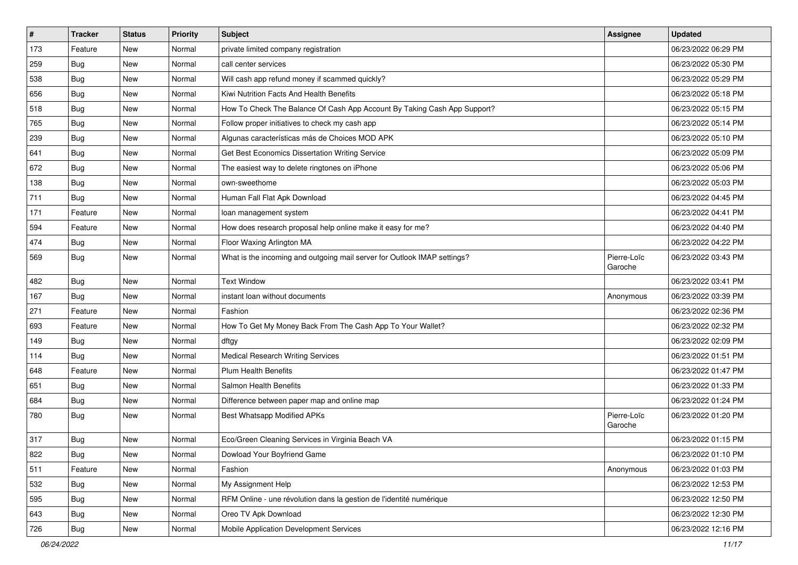| $\sharp$ | <b>Tracker</b> | <b>Status</b> | <b>Priority</b> | Subject                                                                  | Assignee               | <b>Updated</b>      |
|----------|----------------|---------------|-----------------|--------------------------------------------------------------------------|------------------------|---------------------|
| 173      | Feature        | New           | Normal          | private limited company registration                                     |                        | 06/23/2022 06:29 PM |
| 259      | <b>Bug</b>     | New           | Normal          | call center services                                                     |                        | 06/23/2022 05:30 PM |
| 538      | Bug            | New           | Normal          | Will cash app refund money if scammed quickly?                           |                        | 06/23/2022 05:29 PM |
| 656      | <b>Bug</b>     | New           | Normal          | Kiwi Nutrition Facts And Health Benefits                                 |                        | 06/23/2022 05:18 PM |
| 518      | Bug            | New           | Normal          | How To Check The Balance Of Cash App Account By Taking Cash App Support? |                        | 06/23/2022 05:15 PM |
| 765      | <b>Bug</b>     | New           | Normal          | Follow proper initiatives to check my cash app                           |                        | 06/23/2022 05:14 PM |
| 239      | Bug            | New           | Normal          | Algunas características más de Choices MOD APK                           |                        | 06/23/2022 05:10 PM |
| 641      | <b>Bug</b>     | New           | Normal          | Get Best Economics Dissertation Writing Service                          |                        | 06/23/2022 05:09 PM |
| 672      | Bug            | New           | Normal          | The easiest way to delete ringtones on iPhone                            |                        | 06/23/2022 05:06 PM |
| 138      | Bug            | New           | Normal          | own-sweethome                                                            |                        | 06/23/2022 05:03 PM |
| 711      | <b>Bug</b>     | New           | Normal          | Human Fall Flat Apk Download                                             |                        | 06/23/2022 04:45 PM |
| 171      | Feature        | New           | Normal          | loan management system                                                   |                        | 06/23/2022 04:41 PM |
| 594      | Feature        | New           | Normal          | How does research proposal help online make it easy for me?              |                        | 06/23/2022 04:40 PM |
| 474      | <b>Bug</b>     | New           | Normal          | Floor Waxing Arlington MA                                                |                        | 06/23/2022 04:22 PM |
| 569      | Bug            | New           | Normal          | What is the incoming and outgoing mail server for Outlook IMAP settings? | Pierre-Loïc<br>Garoche | 06/23/2022 03:43 PM |
| 482      | <b>Bug</b>     | <b>New</b>    | Normal          | <b>Text Window</b>                                                       |                        | 06/23/2022 03:41 PM |
| 167      | Bug            | New           | Normal          | instant loan without documents                                           | Anonymous              | 06/23/2022 03:39 PM |
| 271      | Feature        | New           | Normal          | Fashion                                                                  |                        | 06/23/2022 02:36 PM |
| 693      | Feature        | New           | Normal          | How To Get My Money Back From The Cash App To Your Wallet?               |                        | 06/23/2022 02:32 PM |
| 149      | <b>Bug</b>     | New           | Normal          | dftgy                                                                    |                        | 06/23/2022 02:09 PM |
| 114      | Bug            | New           | Normal          | <b>Medical Research Writing Services</b>                                 |                        | 06/23/2022 01:51 PM |
| 648      | Feature        | New           | Normal          | Plum Health Benefits                                                     |                        | 06/23/2022 01:47 PM |
| 651      | <b>Bug</b>     | New           | Normal          | Salmon Health Benefits                                                   |                        | 06/23/2022 01:33 PM |
| 684      | Bug            | New           | Normal          | Difference between paper map and online map                              |                        | 06/23/2022 01:24 PM |
| 780      | <b>Bug</b>     | New           | Normal          | <b>Best Whatsapp Modified APKs</b>                                       | Pierre-Loïc<br>Garoche | 06/23/2022 01:20 PM |
| 317      | Bug            | New           | Normal          | Eco/Green Cleaning Services in Virginia Beach VA                         |                        | 06/23/2022 01:15 PM |
| 822      | Bug            | New           | Normal          | Dowload Your Boyfriend Game                                              |                        | 06/23/2022 01:10 PM |
| 511      | Feature        | New           | Normal          | Fashion                                                                  | Anonymous              | 06/23/2022 01:03 PM |
| 532      | Bug            | New           | Normal          | My Assignment Help                                                       |                        | 06/23/2022 12:53 PM |
| 595      | <b>Bug</b>     | New           | Normal          | RFM Online - une révolution dans la gestion de l'identité numérique      |                        | 06/23/2022 12:50 PM |
| 643      | <b>Bug</b>     | New           | Normal          | Oreo TV Apk Download                                                     |                        | 06/23/2022 12:30 PM |
| 726      | <b>Bug</b>     | New           | Normal          | Mobile Application Development Services                                  |                        | 06/23/2022 12:16 PM |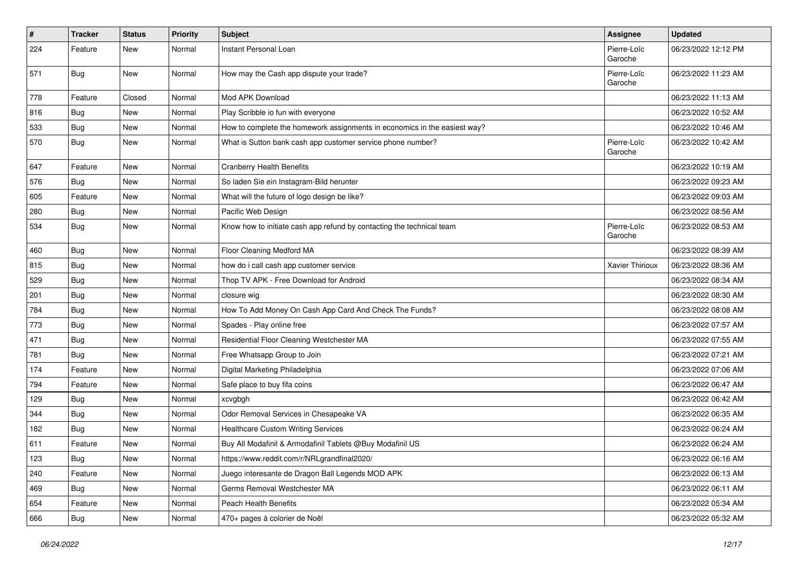| $\vert$ # | <b>Tracker</b> | <b>Status</b> | <b>Priority</b> | <b>Subject</b>                                                            | Assignee               | <b>Updated</b>      |
|-----------|----------------|---------------|-----------------|---------------------------------------------------------------------------|------------------------|---------------------|
| 224       | Feature        | New           | Normal          | Instant Personal Loan                                                     | Pierre-Loïc<br>Garoche | 06/23/2022 12:12 PM |
| 571       | Bug            | New           | Normal          | How may the Cash app dispute your trade?                                  | Pierre-Loïc<br>Garoche | 06/23/2022 11:23 AM |
| 778       | Feature        | Closed        | Normal          | Mod APK Download                                                          |                        | 06/23/2022 11:13 AM |
| 816       | Bug            | New           | Normal          | Play Scribble io fun with everyone                                        |                        | 06/23/2022 10:52 AM |
| 533       | Bug            | New           | Normal          | How to complete the homework assignments in economics in the easiest way? |                        | 06/23/2022 10:46 AM |
| 570       | <b>Bug</b>     | New           | Normal          | What is Sutton bank cash app customer service phone number?               | Pierre-Loïc<br>Garoche | 06/23/2022 10:42 AM |
| 647       | Feature        | <b>New</b>    | Normal          | <b>Cranberry Health Benefits</b>                                          |                        | 06/23/2022 10:19 AM |
| 576       | <b>Bug</b>     | New           | Normal          | So laden Sie ein Instagram-Bild herunter                                  |                        | 06/23/2022 09:23 AM |
| 605       | Feature        | New           | Normal          | What will the future of logo design be like?                              |                        | 06/23/2022 09:03 AM |
| 280       | Bug            | New           | Normal          | Pacific Web Design                                                        |                        | 06/23/2022 08:56 AM |
| 534       | <b>Bug</b>     | New           | Normal          | Know how to initiate cash app refund by contacting the technical team     | Pierre-Loïc<br>Garoche | 06/23/2022 08:53 AM |
| 460       | <b>Bug</b>     | New           | Normal          | Floor Cleaning Medford MA                                                 |                        | 06/23/2022 08:39 AM |
| 815       | Bug            | New           | Normal          | how do i call cash app customer service                                   | Xavier Thirioux        | 06/23/2022 08:36 AM |
| 529       | <b>Bug</b>     | New           | Normal          | Thop TV APK - Free Download for Android                                   |                        | 06/23/2022 08:34 AM |
| 201       | Bug            | New           | Normal          | closure wig                                                               |                        | 06/23/2022 08:30 AM |
| 784       | <b>Bug</b>     | New           | Normal          | How To Add Money On Cash App Card And Check The Funds?                    |                        | 06/23/2022 08:08 AM |
| 773       | Bug            | New           | Normal          | Spades - Play online free                                                 |                        | 06/23/2022 07:57 AM |
| 471       | <b>Bug</b>     | New           | Normal          | Residential Floor Cleaning Westchester MA                                 |                        | 06/23/2022 07:55 AM |
| 781       | Bug            | New           | Normal          | Free Whatsapp Group to Join                                               |                        | 06/23/2022 07:21 AM |
| 174       | Feature        | New           | Normal          | Digital Marketing Philadelphia                                            |                        | 06/23/2022 07:06 AM |
| 794       | Feature        | New           | Normal          | Safe place to buy fifa coins                                              |                        | 06/23/2022 06:47 AM |
| 129       | Bug            | New           | Normal          | xcvgbgh                                                                   |                        | 06/23/2022 06:42 AM |
| 344       | <b>Bug</b>     | New           | Normal          | Odor Removal Services in Chesapeake VA                                    |                        | 06/23/2022 06:35 AM |
| 182       | <b>Bug</b>     | New           | Normal          | <b>Healthcare Custom Writing Services</b>                                 |                        | 06/23/2022 06:24 AM |
| 611       | Feature        | New           | Normal          | Buy All Modafinil & Armodafinil Tablets @Buy Modafinil US                 |                        | 06/23/2022 06:24 AM |
| 123       | <b>Bug</b>     | New           | Normal          | https://www.reddit.com/r/NRLgrandfinal2020/                               |                        | 06/23/2022 06:16 AM |
| 240       | Feature        | New           | Normal          | Juego interesante de Dragon Ball Legends MOD APK                          |                        | 06/23/2022 06:13 AM |
| 469       | Bug            | New           | Normal          | Germs Removal Westchester MA                                              |                        | 06/23/2022 06:11 AM |
| 654       | Feature        | New           | Normal          | Peach Health Benefits                                                     |                        | 06/23/2022 05:34 AM |
| 666       | <b>Bug</b>     | New           | Normal          | 470+ pages à colorier de Noël                                             |                        | 06/23/2022 05:32 AM |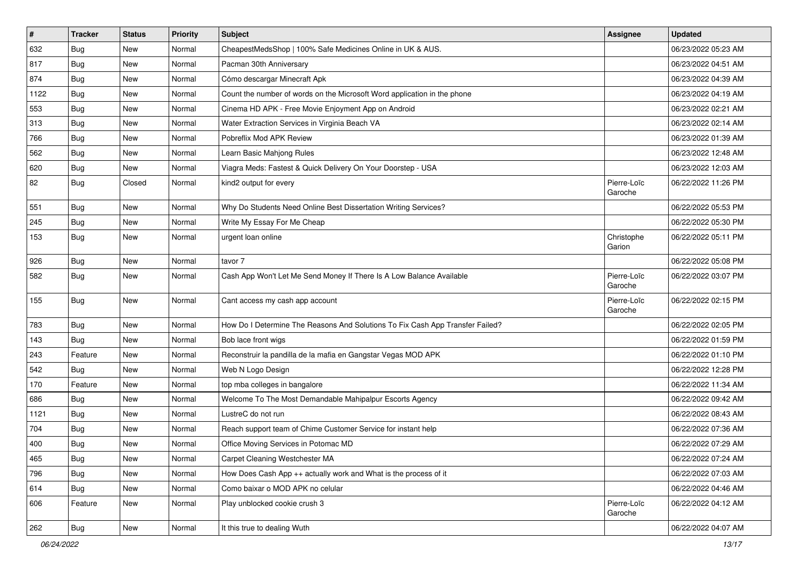| $\vert$ # | <b>Tracker</b> | <b>Status</b> | <b>Priority</b> | <b>Subject</b>                                                                | Assignee               | <b>Updated</b>      |
|-----------|----------------|---------------|-----------------|-------------------------------------------------------------------------------|------------------------|---------------------|
| 632       | <b>Bug</b>     | New           | Normal          | CheapestMedsShop   100% Safe Medicines Online in UK & AUS.                    |                        | 06/23/2022 05:23 AM |
| 817       | <b>Bug</b>     | New           | Normal          | Pacman 30th Anniversary                                                       |                        | 06/23/2022 04:51 AM |
| 874       | Bug            | New           | Normal          | Cómo descargar Minecraft Apk                                                  |                        | 06/23/2022 04:39 AM |
| 1122      | <b>Bug</b>     | New           | Normal          | Count the number of words on the Microsoft Word application in the phone      |                        | 06/23/2022 04:19 AM |
| 553       | <b>Bug</b>     | New           | Normal          | Cinema HD APK - Free Movie Enjoyment App on Android                           |                        | 06/23/2022 02:21 AM |
| 313       | <b>Bug</b>     | New           | Normal          | Water Extraction Services in Virginia Beach VA                                |                        | 06/23/2022 02:14 AM |
| 766       | <b>Bug</b>     | New           | Normal          | Pobreflix Mod APK Review                                                      |                        | 06/23/2022 01:39 AM |
| 562       | <b>Bug</b>     | New           | Normal          | Learn Basic Mahjong Rules                                                     |                        | 06/23/2022 12:48 AM |
| 620       | <b>Bug</b>     | New           | Normal          | Viagra Meds: Fastest & Quick Delivery On Your Doorstep - USA                  |                        | 06/23/2022 12:03 AM |
| 82        | Bug            | Closed        | Normal          | kind2 output for every                                                        | Pierre-Loïc<br>Garoche | 06/22/2022 11:26 PM |
| 551       | <b>Bug</b>     | New           | Normal          | Why Do Students Need Online Best Dissertation Writing Services?               |                        | 06/22/2022 05:53 PM |
| 245       | Bug            | New           | Normal          | Write My Essay For Me Cheap                                                   |                        | 06/22/2022 05:30 PM |
| 153       | Bug            | New           | Normal          | urgent loan online                                                            | Christophe<br>Garion   | 06/22/2022 05:11 PM |
| 926       | Bug            | New           | Normal          | tavor 7                                                                       |                        | 06/22/2022 05:08 PM |
| 582       | <b>Bug</b>     | New           | Normal          | Cash App Won't Let Me Send Money If There Is A Low Balance Available          | Pierre-Loïc<br>Garoche | 06/22/2022 03:07 PM |
| 155       | Bug            | New           | Normal          | Cant access my cash app account                                               | Pierre-Loïc<br>Garoche | 06/22/2022 02:15 PM |
| 783       | Bug            | New           | Normal          | How Do I Determine The Reasons And Solutions To Fix Cash App Transfer Failed? |                        | 06/22/2022 02:05 PM |
| 143       | <b>Bug</b>     | New           | Normal          | Bob lace front wigs                                                           |                        | 06/22/2022 01:59 PM |
| 243       | Feature        | New           | Normal          | Reconstruir la pandilla de la mafia en Gangstar Vegas MOD APK                 |                        | 06/22/2022 01:10 PM |
| 542       | Bug            | New           | Normal          | Web N Logo Design                                                             |                        | 06/22/2022 12:28 PM |
| 170       | Feature        | New           | Normal          | top mba colleges in bangalore                                                 |                        | 06/22/2022 11:34 AM |
| 686       | Bug            | New           | Normal          | Welcome To The Most Demandable Mahipalpur Escorts Agency                      |                        | 06/22/2022 09:42 AM |
| 1121      | <b>Bug</b>     | New           | Normal          | LustreC do not run                                                            |                        | 06/22/2022 08:43 AM |
| 704       | Bug            | New           | Normal          | Reach support team of Chime Customer Service for instant help                 |                        | 06/22/2022 07:36 AM |
| 400       | Bug            | New           | Normal          | Office Moving Services in Potomac MD                                          |                        | 06/22/2022 07:29 AM |
| 465       | <b>Bug</b>     | New           | Normal          | Carpet Cleaning Westchester MA                                                |                        | 06/22/2022 07:24 AM |
| 796       | <b>Bug</b>     | New           | Normal          | How Does Cash App ++ actually work and What is the process of it              |                        | 06/22/2022 07:03 AM |
| 614       | Bug            | New           | Normal          | Como baixar o MOD APK no celular                                              |                        | 06/22/2022 04:46 AM |
| 606       | Feature        | New           | Normal          | Play unblocked cookie crush 3                                                 | Pierre-Loïc<br>Garoche | 06/22/2022 04:12 AM |
| 262       | Bug            | New           | Normal          | It this true to dealing Wuth                                                  |                        | 06/22/2022 04:07 AM |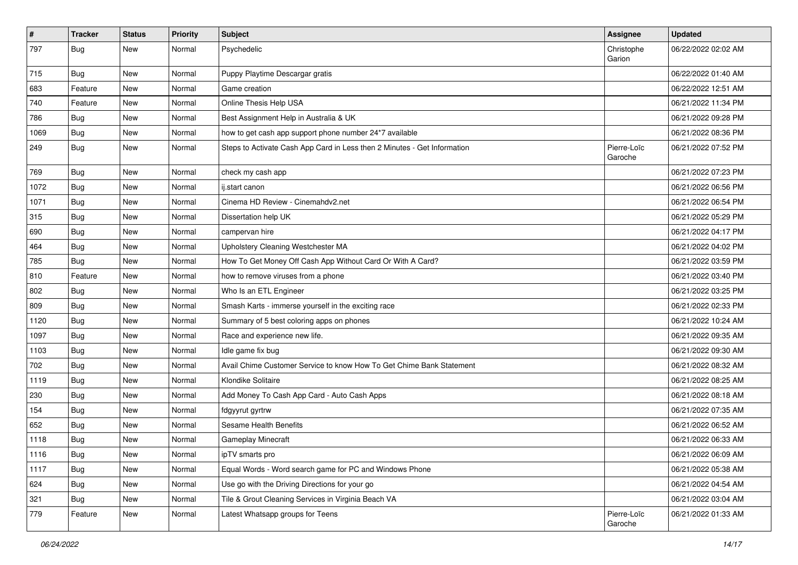| $\vert$ # | <b>Tracker</b> | <b>Status</b> | <b>Priority</b> | <b>Subject</b>                                                           | <b>Assignee</b>        | <b>Updated</b>      |
|-----------|----------------|---------------|-----------------|--------------------------------------------------------------------------|------------------------|---------------------|
| 797       | <b>Bug</b>     | New           | Normal          | Psychedelic                                                              | Christophe<br>Garion   | 06/22/2022 02:02 AM |
| 715       | <b>Bug</b>     | New           | Normal          | Puppy Playtime Descargar gratis                                          |                        | 06/22/2022 01:40 AM |
| 683       | Feature        | New           | Normal          | Game creation                                                            |                        | 06/22/2022 12:51 AM |
| 740       | Feature        | New           | Normal          | Online Thesis Help USA                                                   |                        | 06/21/2022 11:34 PM |
| 786       | <b>Bug</b>     | New           | Normal          | Best Assignment Help in Australia & UK                                   |                        | 06/21/2022 09:28 PM |
| 1069      | <b>Bug</b>     | New           | Normal          | how to get cash app support phone number 24*7 available                  |                        | 06/21/2022 08:36 PM |
| 249       | Bug            | New           | Normal          | Steps to Activate Cash App Card in Less then 2 Minutes - Get Information | Pierre-Loïc<br>Garoche | 06/21/2022 07:52 PM |
| 769       | <b>Bug</b>     | New           | Normal          | check my cash app                                                        |                        | 06/21/2022 07:23 PM |
| 1072      | Bug            | New           | Normal          | ij.start canon                                                           |                        | 06/21/2022 06:56 PM |
| 1071      | <b>Bug</b>     | New           | Normal          | Cinema HD Review - Cinemahdv2.net                                        |                        | 06/21/2022 06:54 PM |
| 315       | Bug            | New           | Normal          | Dissertation help UK                                                     |                        | 06/21/2022 05:29 PM |
| 690       | Bug            | New           | Normal          | campervan hire                                                           |                        | 06/21/2022 04:17 PM |
| 464       | Bug            | New           | Normal          | Upholstery Cleaning Westchester MA                                       |                        | 06/21/2022 04:02 PM |
| 785       | Bug            | New           | Normal          | How To Get Money Off Cash App Without Card Or With A Card?               |                        | 06/21/2022 03:59 PM |
| 810       | Feature        | New           | Normal          | how to remove viruses from a phone                                       |                        | 06/21/2022 03:40 PM |
| 802       | Bug            | New           | Normal          | Who Is an ETL Engineer                                                   |                        | 06/21/2022 03:25 PM |
| 809       | <b>Bug</b>     | New           | Normal          | Smash Karts - immerse yourself in the exciting race                      |                        | 06/21/2022 02:33 PM |
| 1120      | <b>Bug</b>     | New           | Normal          | Summary of 5 best coloring apps on phones                                |                        | 06/21/2022 10:24 AM |
| 1097      | <b>Bug</b>     | New           | Normal          | Race and experience new life.                                            |                        | 06/21/2022 09:35 AM |
| 1103      | <b>Bug</b>     | New           | Normal          | Idle game fix bug                                                        |                        | 06/21/2022 09:30 AM |
| 702       | Bug            | New           | Normal          | Avail Chime Customer Service to know How To Get Chime Bank Statement     |                        | 06/21/2022 08:32 AM |
| 1119      | Bug            | New           | Normal          | Klondike Solitaire                                                       |                        | 06/21/2022 08:25 AM |
| 230       | Bug            | New           | Normal          | Add Money To Cash App Card - Auto Cash Apps                              |                        | 06/21/2022 08:18 AM |
| 154       | <b>Bug</b>     | New           | Normal          | fdgyyrut gyrtrw                                                          |                        | 06/21/2022 07:35 AM |
| 652       | <b>Bug</b>     | New           | Normal          | Sesame Health Benefits                                                   |                        | 06/21/2022 06:52 AM |
| 1118      | <b>Bug</b>     | New           | Normal          | Gameplay Minecraft                                                       |                        | 06/21/2022 06:33 AM |
| 1116      | <b>Bug</b>     | New           | Normal          | ipTV smarts pro                                                          |                        | 06/21/2022 06:09 AM |
| 1117      | <b>Bug</b>     | New           | Normal          | Equal Words - Word search game for PC and Windows Phone                  |                        | 06/21/2022 05:38 AM |
| 624       | <b>Bug</b>     | New           | Normal          | Use go with the Driving Directions for your go                           |                        | 06/21/2022 04:54 AM |
| 321       | <b>Bug</b>     | New           | Normal          | Tile & Grout Cleaning Services in Virginia Beach VA                      |                        | 06/21/2022 03:04 AM |
| 779       | Feature        | New           | Normal          | Latest Whatsapp groups for Teens                                         | Pierre-Loïc<br>Garoche | 06/21/2022 01:33 AM |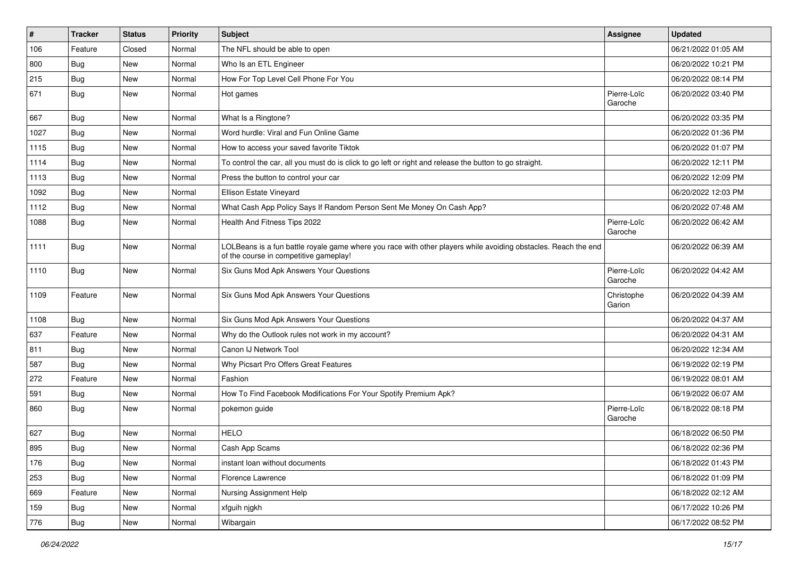| $\vert$ # | Tracker    | <b>Status</b> | <b>Priority</b> | <b>Subject</b>                                                                                                                                           | <b>Assignee</b>        | <b>Updated</b>      |
|-----------|------------|---------------|-----------------|----------------------------------------------------------------------------------------------------------------------------------------------------------|------------------------|---------------------|
| 106       | Feature    | Closed        | Normal          | The NFL should be able to open                                                                                                                           |                        | 06/21/2022 01:05 AM |
| 800       | Bug        | New           | Normal          | Who Is an ETL Engineer                                                                                                                                   |                        | 06/20/2022 10:21 PM |
| 215       | <b>Bug</b> | New           | Normal          | How For Top Level Cell Phone For You                                                                                                                     |                        | 06/20/2022 08:14 PM |
| 671       | <b>Bug</b> | New           | Normal          | Hot games                                                                                                                                                | Pierre-Loïc<br>Garoche | 06/20/2022 03:40 PM |
| 667       | <b>Bug</b> | New           | Normal          | What Is a Ringtone?                                                                                                                                      |                        | 06/20/2022 03:35 PM |
| 1027      | <b>Bug</b> | <b>New</b>    | Normal          | Word hurdle: Viral and Fun Online Game                                                                                                                   |                        | 06/20/2022 01:36 PM |
| 1115      | Bug        | New           | Normal          | How to access your saved favorite Tiktok                                                                                                                 |                        | 06/20/2022 01:07 PM |
| 1114      | <b>Bug</b> | New           | Normal          | To control the car, all you must do is click to go left or right and release the button to go straight.                                                  |                        | 06/20/2022 12:11 PM |
| 1113      | Bug        | New           | Normal          | Press the button to control your car                                                                                                                     |                        | 06/20/2022 12:09 PM |
| 1092      | <b>Bug</b> | New           | Normal          | Ellison Estate Vineyard                                                                                                                                  |                        | 06/20/2022 12:03 PM |
| 1112      | <b>Bug</b> | New           | Normal          | What Cash App Policy Says If Random Person Sent Me Money On Cash App?                                                                                    |                        | 06/20/2022 07:48 AM |
| 1088      | <b>Bug</b> | New           | Normal          | Health And Fitness Tips 2022                                                                                                                             | Pierre-Loïc<br>Garoche | 06/20/2022 06:42 AM |
| 1111      | <b>Bug</b> | New           | Normal          | LOLBeans is a fun battle royale game where you race with other players while avoiding obstacles. Reach the end<br>of the course in competitive gameplay! |                        | 06/20/2022 06:39 AM |
| 1110      | <b>Bug</b> | New           | Normal          | Six Guns Mod Apk Answers Your Questions                                                                                                                  | Pierre-Loïc<br>Garoche | 06/20/2022 04:42 AM |
| 1109      | Feature    | New           | Normal          | Six Guns Mod Apk Answers Your Questions                                                                                                                  | Christophe<br>Garion   | 06/20/2022 04:39 AM |
| 1108      | Bug        | New           | Normal          | Six Guns Mod Apk Answers Your Questions                                                                                                                  |                        | 06/20/2022 04:37 AM |
| 637       | Feature    | New           | Normal          | Why do the Outlook rules not work in my account?                                                                                                         |                        | 06/20/2022 04:31 AM |
| 811       | Bug        | New           | Normal          | Canon IJ Network Tool                                                                                                                                    |                        | 06/20/2022 12:34 AM |
| 587       | <b>Bug</b> | New           | Normal          | Why Picsart Pro Offers Great Features                                                                                                                    |                        | 06/19/2022 02:19 PM |
| 272       | Feature    | New           | Normal          | Fashion                                                                                                                                                  |                        | 06/19/2022 08:01 AM |
| 591       | Bug        | New           | Normal          | How To Find Facebook Modifications For Your Spotify Premium Apk?                                                                                         |                        | 06/19/2022 06:07 AM |
| 860       | <b>Bug</b> | New           | Normal          | pokemon guide                                                                                                                                            | Pierre-Loïc<br>Garoche | 06/18/2022 08:18 PM |
| 627       | <b>Bug</b> | <b>New</b>    | Normal          | <b>HELO</b>                                                                                                                                              |                        | 06/18/2022 06:50 PM |
| 895       | <b>Bug</b> | New           | Normal          | Cash App Scams                                                                                                                                           |                        | 06/18/2022 02:36 PM |
| 176       | <b>Bug</b> | New           | Normal          | instant loan without documents                                                                                                                           |                        | 06/18/2022 01:43 PM |
| 253       | Bug        | New           | Normal          | Florence Lawrence                                                                                                                                        |                        | 06/18/2022 01:09 PM |
| 669       | Feature    | New           | Normal          | Nursing Assignment Help                                                                                                                                  |                        | 06/18/2022 02:12 AM |
| 159       | <b>Bug</b> | New           | Normal          | xfguih njgkh                                                                                                                                             |                        | 06/17/2022 10:26 PM |
| 776       | <b>Bug</b> | New           | Normal          | Wibargain                                                                                                                                                |                        | 06/17/2022 08:52 PM |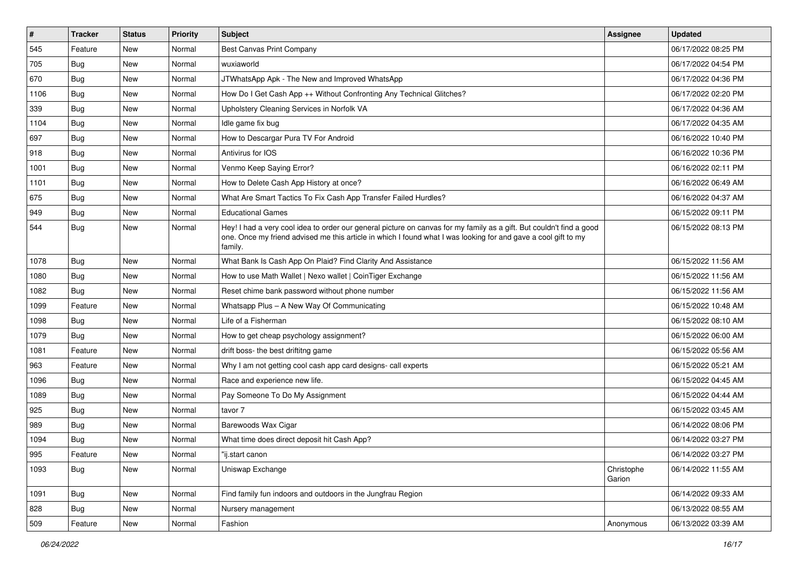| $\vert$ # | <b>Tracker</b> | <b>Status</b> | <b>Priority</b> | <b>Subject</b>                                                                                                                                                                                                                                    | <b>Assignee</b>      | <b>Updated</b>      |
|-----------|----------------|---------------|-----------------|---------------------------------------------------------------------------------------------------------------------------------------------------------------------------------------------------------------------------------------------------|----------------------|---------------------|
| 545       | Feature        | New           | Normal          | Best Canvas Print Company                                                                                                                                                                                                                         |                      | 06/17/2022 08:25 PM |
| 705       | <b>Bug</b>     | New           | Normal          | wuxiaworld                                                                                                                                                                                                                                        |                      | 06/17/2022 04:54 PM |
| 670       | <b>Bug</b>     | New           | Normal          | JTWhatsApp Apk - The New and Improved WhatsApp                                                                                                                                                                                                    |                      | 06/17/2022 04:36 PM |
| 1106      | <b>Bug</b>     | New           | Normal          | How Do I Get Cash App ++ Without Confronting Any Technical Glitches?                                                                                                                                                                              |                      | 06/17/2022 02:20 PM |
| 339       | Bug            | New           | Normal          | Upholstery Cleaning Services in Norfolk VA                                                                                                                                                                                                        |                      | 06/17/2022 04:36 AM |
| 1104      | Bug            | New           | Normal          | Idle game fix bug                                                                                                                                                                                                                                 |                      | 06/17/2022 04:35 AM |
| 697       | <b>Bug</b>     | New           | Normal          | How to Descargar Pura TV For Android                                                                                                                                                                                                              |                      | 06/16/2022 10:40 PM |
| 918       | Bug            | New           | Normal          | Antivirus for IOS                                                                                                                                                                                                                                 |                      | 06/16/2022 10:36 PM |
| 1001      | <b>Bug</b>     | New           | Normal          | Venmo Keep Saying Error?                                                                                                                                                                                                                          |                      | 06/16/2022 02:11 PM |
| 1101      | <b>Bug</b>     | New           | Normal          | How to Delete Cash App History at once?                                                                                                                                                                                                           |                      | 06/16/2022 06:49 AM |
| 675       | <b>Bug</b>     | New           | Normal          | What Are Smart Tactics To Fix Cash App Transfer Failed Hurdles?                                                                                                                                                                                   |                      | 06/16/2022 04:37 AM |
| 949       | Bug            | New           | Normal          | <b>Educational Games</b>                                                                                                                                                                                                                          |                      | 06/15/2022 09:11 PM |
| 544       | Bug            | New           | Normal          | Hey! I had a very cool idea to order our general picture on canvas for my family as a gift. But couldn't find a good<br>one. Once my friend advised me this article in which I found what I was looking for and gave a cool gift to my<br>family. |                      | 06/15/2022 08:13 PM |
| 1078      | Bug            | New           | Normal          | What Bank Is Cash App On Plaid? Find Clarity And Assistance                                                                                                                                                                                       |                      | 06/15/2022 11:56 AM |
| 1080      | <b>Bug</b>     | New           | Normal          | How to use Math Wallet   Nexo wallet   CoinTiger Exchange                                                                                                                                                                                         |                      | 06/15/2022 11:56 AM |
| 1082      | Bug            | New           | Normal          | Reset chime bank password without phone number                                                                                                                                                                                                    |                      | 06/15/2022 11:56 AM |
| 1099      | Feature        | New           | Normal          | Whatsapp Plus - A New Way Of Communicating                                                                                                                                                                                                        |                      | 06/15/2022 10:48 AM |
| 1098      | Bug            | New           | Normal          | Life of a Fisherman                                                                                                                                                                                                                               |                      | 06/15/2022 08:10 AM |
| 1079      | Bug            | New           | Normal          | How to get cheap psychology assignment?                                                                                                                                                                                                           |                      | 06/15/2022 06:00 AM |
| 1081      | Feature        | New           | Normal          | drift boss- the best driftitng game                                                                                                                                                                                                               |                      | 06/15/2022 05:56 AM |
| 963       | Feature        | New           | Normal          | Why I am not getting cool cash app card designs- call experts                                                                                                                                                                                     |                      | 06/15/2022 05:21 AM |
| 1096      | <b>Bug</b>     | New           | Normal          | Race and experience new life.                                                                                                                                                                                                                     |                      | 06/15/2022 04:45 AM |
| 1089      | <b>Bug</b>     | New           | Normal          | Pay Someone To Do My Assignment                                                                                                                                                                                                                   |                      | 06/15/2022 04:44 AM |
| 925       | <b>Bug</b>     | New           | Normal          | tavor 7                                                                                                                                                                                                                                           |                      | 06/15/2022 03:45 AM |
| 989       | <b>Bug</b>     | New           | Normal          | Barewoods Wax Cigar                                                                                                                                                                                                                               |                      | 06/14/2022 08:06 PM |
| 1094      | <b>Bug</b>     | New           | Normal          | What time does direct deposit hit Cash App?                                                                                                                                                                                                       |                      | 06/14/2022 03:27 PM |
| 995       | Feature        | New           | Normal          | "ij.start canon                                                                                                                                                                                                                                   |                      | 06/14/2022 03:27 PM |
| 1093      | <b>Bug</b>     | New           | Normal          | Uniswap Exchange                                                                                                                                                                                                                                  | Christophe<br>Garion | 06/14/2022 11:55 AM |
| 1091      | <b>Bug</b>     | New           | Normal          | Find family fun indoors and outdoors in the Jungfrau Region                                                                                                                                                                                       |                      | 06/14/2022 09:33 AM |
| 828       | Bug            | New           | Normal          | Nursery management                                                                                                                                                                                                                                |                      | 06/13/2022 08:55 AM |
| 509       | Feature        | New           | Normal          | Fashion                                                                                                                                                                                                                                           | Anonymous            | 06/13/2022 03:39 AM |